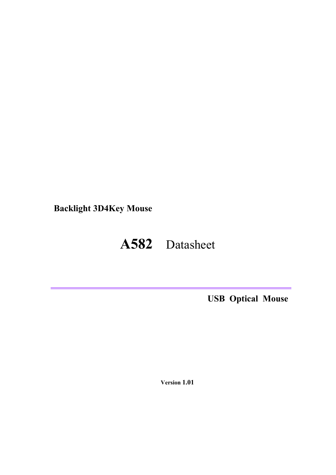**Backlight 3D4Key Mouse**

# **A582** Datasheet

**USB Optical Mouse**

 **Version 1.01**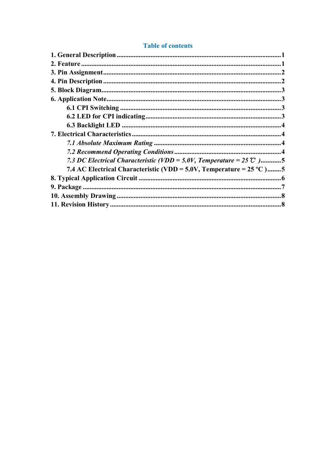#### **Table of contents**

| 7.3 DC Electrical Characteristic (VDD = 5.0V, Temperature = 25 $\degree$ C )5 |  |
|-------------------------------------------------------------------------------|--|
| 7.4 AC Electrical Characteristic (VDD = 5.0V, Temperature = $25^{\circ}$ C)5  |  |
|                                                                               |  |
|                                                                               |  |
|                                                                               |  |
|                                                                               |  |
|                                                                               |  |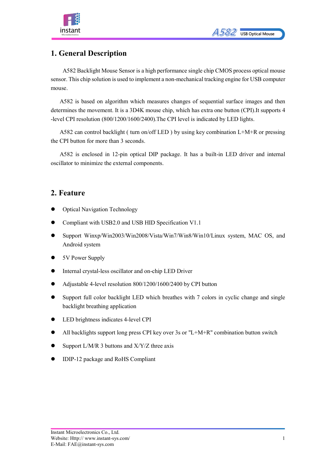

# <span id="page-2-0"></span>**1. General Description**

A582 Backlight Mouse Sensor is a high performance single chip CMOS process optical mouse sensor. This chip solution is used to implement a non-mechanical tracking engine for USB computer mouse.

A582 is based on algorithm which measures changes of sequential surface images and then determines the movement. It is a 3D4K mouse chip, which has extra one button (CPI).It supports 4 -level CPI resolution (800/1200/1600/2400).The CPI level is indicated by LED lights.

A582 can control backlight ( turn on/off LED ) by using key combination L+M+R or pressing the CPI button for more than 3 seconds.

A582 is enclosed in 12-pin optical DIP package. It has a built-in LED driver and internal oscillator to minimize the external components.

### <span id="page-2-1"></span>**2. Feature**

- Optical Navigation Technology
- Compliant with USB2.0 and USB HID Specification V1.1
- Support Winxp/Win2003/Win2008/Vista/Win7/Win8/Win10/Linux system, MAC OS, and Android system
- 5V Power Supply
- Internal crystal-less oscillator and on-chip LED Driver
- Adjustable 4-level resolution 800/1200/1600/2400 by CPI button
- Support full color backlight LED which breathes with 7 colors in cyclic change and single backlight breathing application
- LED brightness indicates 4-level CPI
- All backlights support long press CPI key over 3s or "L+M+R" combination button switch
- Support L/M/R 3 buttons and X/Y/Z three axis
- IDIP-12 package and RoHS Compliant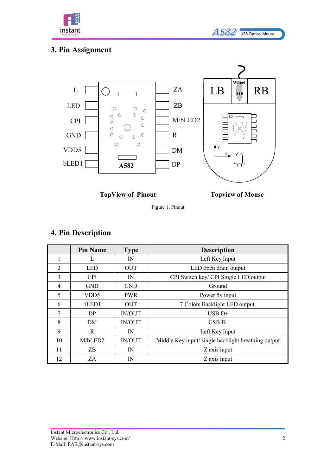l



# <span id="page-3-0"></span>**3. Pin Assignment**

instant



**TopView of Pinout Topview of Mouse**

Figure 1. Pinout

# <span id="page-3-1"></span>**4. Pin Description**

|                | <b>Pin Name</b>  | <b>Type</b>   | <b>Description</b>                                  |  |
|----------------|------------------|---------------|-----------------------------------------------------|--|
| 1              |                  | $\mathbb{N}$  | Left Key Input                                      |  |
| $\overline{2}$ | <b>LED</b>       | <b>OUT</b>    | LED open drain output                               |  |
| 3              | <b>CPI</b>       | IN            | CPI Switch key/ CPI Single LED output               |  |
| $\overline{4}$ | <b>GND</b>       | <b>GND</b>    | Ground                                              |  |
| 5              | VDD <sub>5</sub> | <b>PWR</b>    | Power 5v input                                      |  |
| 6              | bLED1            | <b>OUT</b>    | 7 Colors Backlight LED output.                      |  |
| 7              | DP.              | <b>IN/OUT</b> | $USB$ D+                                            |  |
| 8              | DM               | <b>IN/OUT</b> | USB <sub>D</sub> -                                  |  |
| 9              | R                | $\mathbb{N}$  | Left Key Input                                      |  |
| 10             | M/bLED2          | <b>IN/OUT</b> | Middle Key input/ single backlight breathing output |  |
| 11             | ΖB               | $\mathbb{N}$  | Z axis input                                        |  |
| 12             | ZΑ               | $\mathbb{N}$  | Z axis input                                        |  |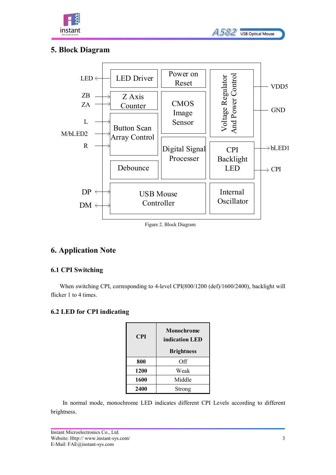

| A582 | <b>USB Optical Mouse</b> |
|------|--------------------------|

### <span id="page-4-0"></span>**5. Block Diagram**



#### Figure 2. Block Diagram

### <span id="page-4-1"></span>**6. Application Note**

#### <span id="page-4-2"></span>**6.1 CPI Switching**

When switching CPI, corresponding to 4-level CPI(800/1200 (def)/1600/2400), backlight will flicker 1 to 4 times.

#### <span id="page-4-3"></span>**6.2 LED for CPI indicating**

| <b>CPI</b> | <b>Monochrome</b><br>indication LED |  |
|------------|-------------------------------------|--|
|            | <b>Brightness</b>                   |  |
| 800        | Off                                 |  |
| 1200       | Weak                                |  |
| 1600       | Middle                              |  |
| 2400       | Strong                              |  |

In normal mode, monochrome LED indicates different CPI Levels according to different brightness.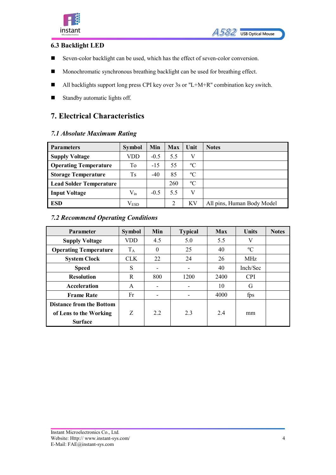

#### <span id="page-5-0"></span>**6.3 Backlight LED**

- Seven-color backlight can be used, which has the effect of seven-color conversion.
- **Monochromatic synchronous breathing backlight can be used for breathing effect.**
- All backlights support long press CPI key over 3s or "L+M+R" combination key switch.
- Standby automatic lights off.

### <span id="page-5-1"></span>**7. Electrical Characteristics**

#### <span id="page-5-2"></span>*7.1 Absolute Maximum Rating*

| <b>Parameters</b>              | <b>Symbol</b> | Min    | <b>Max</b> | Unit        | <b>Notes</b>               |
|--------------------------------|---------------|--------|------------|-------------|----------------------------|
| <b>Supply Voltage</b>          | VDD           | $-0.5$ | 5.5        | V           |                            |
| <b>Operating Temperature</b>   | Tо            | $-15$  | 55         | $\rm ^{o}C$ |                            |
| <b>Storage Temperature</b>     | Ts            | $-40$  | 85         | $\rm ^{o}C$ |                            |
| <b>Lead Solder Temperature</b> |               |        | 260        | $\rm ^{o}C$ |                            |
| <b>Input Voltage</b>           | $\rm V_{in}$  | $-0.5$ | 5.5        | V           |                            |
| ESD                            | $\rm V_{ESD}$ |        | ◠          | KV          | All pins, Human Body Model |

#### <span id="page-5-3"></span>*7.2 Recommend Operating Conditions*

| <b>Parameter</b>                | <b>Symbol</b> | <b>Min</b> | <b>Typical</b> | <b>Max</b> | <b>Units</b> | <b>Notes</b> |
|---------------------------------|---------------|------------|----------------|------------|--------------|--------------|
| <b>Supply Voltage</b>           | VDD           | 4.5        | 5.0            | 5.5        | V            |              |
| <b>Operating Temperature</b>    | $T_A$         | $\theta$   | 25             | 40         | $\rm ^{o}C$  |              |
| <b>System Clock</b>             | <b>CLK</b>    | 22         | 24             | 26         | <b>MHz</b>   |              |
| <b>Speed</b>                    | S             |            |                | 40         | Inch/Sec     |              |
| <b>Resolution</b>               | R             | 800        | 1200           | 2400       | <b>CPI</b>   |              |
| Acceleration                    | A             |            |                | 10         | G            |              |
| <b>Frame Rate</b>               | Fr            |            |                | 4000       | fps          |              |
| <b>Distance from the Bottom</b> |               |            |                |            |              |              |
| of Lens to the Working          | Z             | 2.2        | 2.3            | 2.4        | mm           |              |
| <b>Surface</b>                  |               |            |                |            |              |              |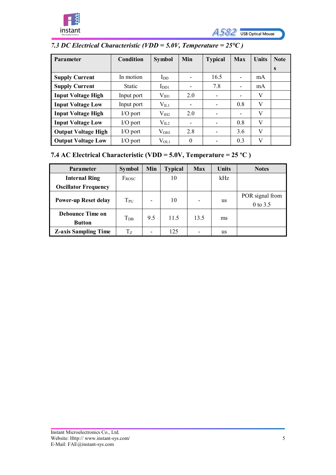



# <span id="page-6-0"></span>*7.3 DC Electrical Characteristic (VDD = 5.0V, Temperature = 25℃ )*

| <b>Parameter</b>           | Condition     | <b>Symbol</b>     | Min      | <b>Typical</b>           | Max | <b>Units</b> | <b>Note</b> |
|----------------------------|---------------|-------------------|----------|--------------------------|-----|--------------|-------------|
|                            |               |                   |          |                          |     |              | S           |
| <b>Supply Current</b>      | In motion     | $I_{DD}$          | ۰        | 16.5                     |     | mA           |             |
| <b>Supply Current</b>      | <b>Static</b> | $I_{DD1}$         |          | 7.8                      |     | mA           |             |
| <b>Input Voltage High</b>  | Input port    | $\rm V_{\rm{H1}}$ | 2.0      | -                        | -   | V            |             |
| <b>Input Voltage Low</b>   | Input port    | $V_{IL1}$         | -        | ۰                        | 0.8 | V            |             |
| <b>Input Voltage High</b>  | $IO$ port     | $\rm V_{III2}$    | 2.0      |                          | -   | V            |             |
| <b>Input Voltage Low</b>   | $IO$ port     | $\rm V_{IL2}$     | -        |                          | 0.8 | V            |             |
| <b>Output Voltage High</b> | $IO$ port     | $V_{\rm OH1}$     | 2.8      | $\overline{\phantom{a}}$ | 3.6 | V            |             |
| <b>Output Voltage Low</b>  | $IO$ port     | $\rm V_{OL1}$     | $\theta$ |                          | 0.3 | V            |             |

# <span id="page-6-1"></span>**7.4 AC Electrical Characteristic (VDD = 5.0V, Temperature = 25 ºC )**

| <b>Parameter</b>                         | <b>Symbol</b>     | Min | <b>Typical</b> | Max                      | <b>Units</b> | <b>Notes</b>                  |
|------------------------------------------|-------------------|-----|----------------|--------------------------|--------------|-------------------------------|
| <b>Internal Ring</b>                     | $F_{\text{ROSC}}$ |     | 10             |                          | kHz          |                               |
| <b>Oscillator Frequency</b>              |                   |     |                |                          |              |                               |
| <b>Power-up Reset delay</b>              | $T_{PU}$          | ۰   | 10             | $\overline{\phantom{0}}$ | us           | POR signal from<br>$0$ to 3.5 |
| <b>Debounce Time on</b><br><b>Button</b> | $T_{\rm DB}$      | 9.5 | 11.5           | 13.5                     | ms           |                               |
| <b>Z-axis Sampling Time</b>              | $T_Z$             |     | 125            |                          | us           |                               |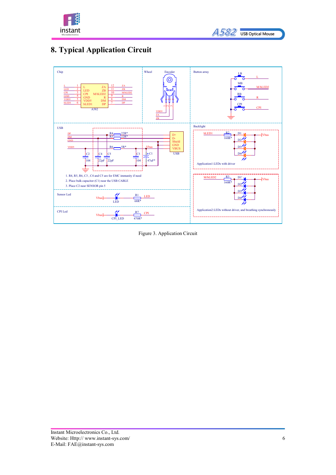

| <b>A582</b> | <b>USB Optical Mouse</b> |
|-------------|--------------------------|

# <span id="page-7-0"></span>**8. Typical Application Circuit**



Figure 3. Application Circuit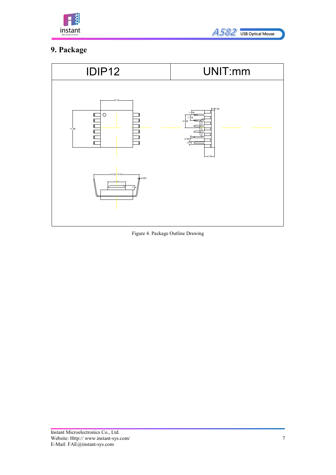



# <span id="page-8-0"></span>**9. Package**



Figure 4. Package Outline Drawing